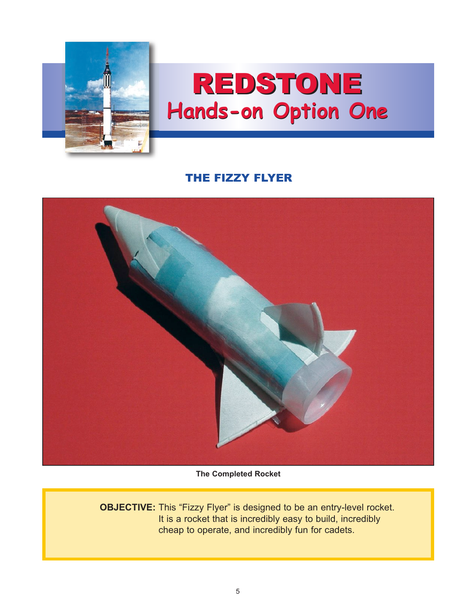

## REDSTONE **Hands-on Option One**

## THE FIZZY FLYER



**The Completed Rocket**

**OBJECTIVE:** This "Fizzy Flyer" is designed to be an entry-level rocket. It is a rocket that is incredibly easy to build, incredibly cheap to operate, and incredibly fun for cadets.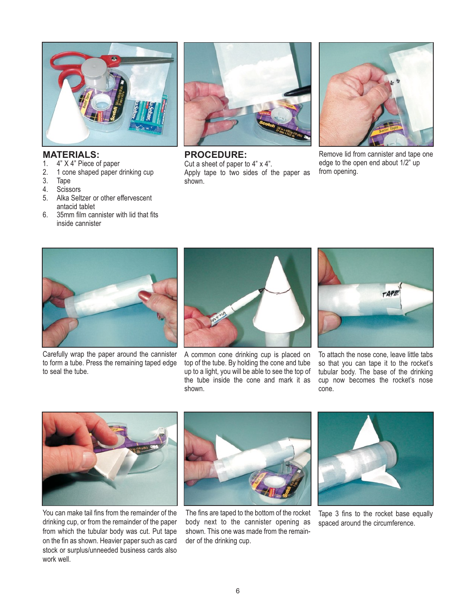

## **MATERIALS:**

- 1.4" X 4" Piece of paper
- 2. 1 cone shaped paper drinking cup
- 3. Tape
- 4. Scissors<br>5. Alka Selt
- Alka Seltzer or other effervescent antacid tablet
- 6. 35mm film cannister with lid that fits inside cannister



**PROCEDURE:**

Cut a sheet of paper to 4" x 4". Apply tape to two sides of the paper as shown.



Remove lid from cannister and tape one edge to the open end about 1/2" up from opening.



Carefully wrap the paper around the cannister to form a tube. Press the remaining taped edge to seal the tube.



A common cone drinking cup is placed on top of the tube. By holding the cone and tube up to a light, you will be able to see the top of the tube inside the cone and mark it as shown.



To attach the nose cone, leave little tabs so that you can tape it to the rocket's tubular body. The base of the drinking cup now becomes the rocket's nose cone.



You can make tail fins from the remainder of the drinking cup, or from the remainder of the paper from which the tubular body was cut. Put tape on the fin as shown. Heavier paper such as card stock or surplus/unneeded business cards also work well.



The fins are taped to the bottom of the rocket body next to the cannister opening as shown. This one was made from the remainder of the drinking cup.



Tape 3 fins to the rocket base equally spaced around the circumference.